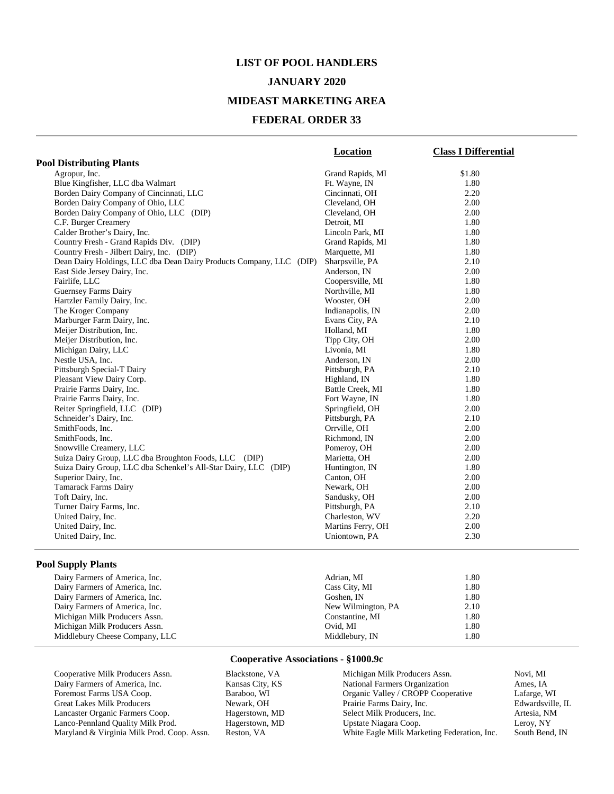#### **JANUARY 2020**

### **MIDEAST MARKETING AREA**

#### **FEDERAL ORDER 33**

|                                                                     | <b>Location</b>   | <b>Class I Differential</b> |
|---------------------------------------------------------------------|-------------------|-----------------------------|
| <b>Pool Distributing Plants</b>                                     |                   |                             |
| Agropur, Inc.                                                       | Grand Rapids, MI  | \$1.80                      |
| Blue Kingfisher, LLC dba Walmart                                    | Ft. Wayne, IN     | 1.80                        |
| Borden Dairy Company of Cincinnati, LLC                             | Cincinnati, OH    | 2.20                        |
| Borden Dairy Company of Ohio, LLC                                   | Cleveland, OH     | 2.00                        |
| Borden Dairy Company of Ohio, LLC (DIP)                             | Cleveland, OH     | 2.00                        |
| C.F. Burger Creamery                                                | Detroit, MI       | 1.80                        |
| Calder Brother's Dairy, Inc.                                        | Lincoln Park, MI  | 1.80                        |
| Country Fresh - Grand Rapids Div. (DIP)                             | Grand Rapids, MI  | 1.80                        |
| Country Fresh - Jilbert Dairy, Inc. (DIP)                           | Marquette, MI     | 1.80                        |
| Dean Dairy Holdings, LLC dba Dean Dairy Products Company, LLC (DIP) | Sharpsville, PA   | 2.10                        |
| East Side Jersey Dairy, Inc.                                        | Anderson, IN      | 2.00                        |
| Fairlife, LLC                                                       | Coopersville, MI  | 1.80                        |
| Guernsey Farms Dairy                                                | Northville, MI    | 1.80                        |
| Hartzler Family Dairy, Inc.                                         | Wooster, OH       | 2.00                        |
| The Kroger Company                                                  | Indianapolis, IN  | 2.00                        |
| Marburger Farm Dairy, Inc.                                          | Evans City, PA    | 2.10                        |
| Meijer Distribution, Inc.                                           | Holland, MI       | 1.80                        |
| Meijer Distribution, Inc.                                           | Tipp City, OH     | 2.00                        |
| Michigan Dairy, LLC                                                 | Livonia, MI       | 1.80                        |
| Nestle USA, Inc.                                                    | Anderson, IN      | 2.00                        |
| Pittsburgh Special-T Dairy                                          | Pittsburgh, PA    | 2.10                        |
| Pleasant View Dairy Corp.                                           | Highland, IN      | 1.80                        |
| Prairie Farms Dairy, Inc.                                           | Battle Creek, MI  | 1.80                        |
| Prairie Farms Dairy, Inc.                                           | Fort Wayne, IN    | 1.80                        |
| Reiter Springfield, LLC (DIP)                                       | Springfield, OH   | 2.00                        |
| Schneider's Dairy, Inc.                                             | Pittsburgh, PA    | 2.10                        |
| SmithFoods, Inc.                                                    | Orrville, OH      | 2.00                        |
| SmithFoods, Inc.                                                    | Richmond, IN      | 2.00                        |
| Snowville Creamery, LLC                                             | Pomeroy, OH       | 2.00                        |
| Suiza Dairy Group, LLC dba Broughton Foods, LLC (DIP)               | Marietta, OH      | 2.00                        |
| Suiza Dairy Group, LLC dba Schenkel's All-Star Dairy, LLC (DIP)     | Huntington, IN    | 1.80                        |
| Superior Dairy, Inc.                                                | Canton, OH        | 2.00                        |
| <b>Tamarack Farms Dairy</b>                                         | Newark, OH        | 2.00                        |
| Toft Dairy, Inc.                                                    | Sandusky, OH      | 2.00                        |
| Turner Dairy Farms, Inc.                                            | Pittsburgh, PA    | 2.10                        |
| United Dairy, Inc.                                                  | Charleston, WV    | 2.20                        |
| United Dairy, Inc.                                                  | Martins Ferry, OH | 2.00                        |
| United Dairy, Inc.                                                  | Uniontown, PA     | 2.30                        |

### **Pool Supply Plants**

| Adrian, MI         | . 80 |
|--------------------|------|
| Cass City, MI      | 1.80 |
| Goshen, IN         | 1.80 |
| New Wilmington, PA | 2.10 |
| Constantine, MI    | . 80 |
| Ovid. MI           | 1.80 |
| Middlebury, IN     | 1.80 |
|                    |      |

| Cooperative Milk Producers Assn.           | Blackstone, VA  | Michigan Milk Producers Assn.               | Novi. MI         |
|--------------------------------------------|-----------------|---------------------------------------------|------------------|
| Dairy Farmers of America, Inc.             | Kansas City, KS | National Farmers Organization               | Ames, IA         |
| Foremost Farms USA Coop.                   | Baraboo, WI     | Organic Valley / CROPP Cooperative          | Lafarge, WI      |
| Great Lakes Milk Producers                 | Newark, OH      | Prairie Farms Dairy, Inc.                   | Edwardsville, IL |
| Lancaster Organic Farmers Coop.            | Hagerstown, MD  | Select Milk Producers, Inc.                 | Artesia. NM      |
| Lanco-Pennland Quality Milk Prod.          | Hagerstown, MD  | Upstate Niagara Coop.                       | Leroy, NY        |
| Maryland & Virginia Milk Prod. Coop. Assn. | Reston, VA      | White Eagle Milk Marketing Federation, Inc. | South Bend, IN   |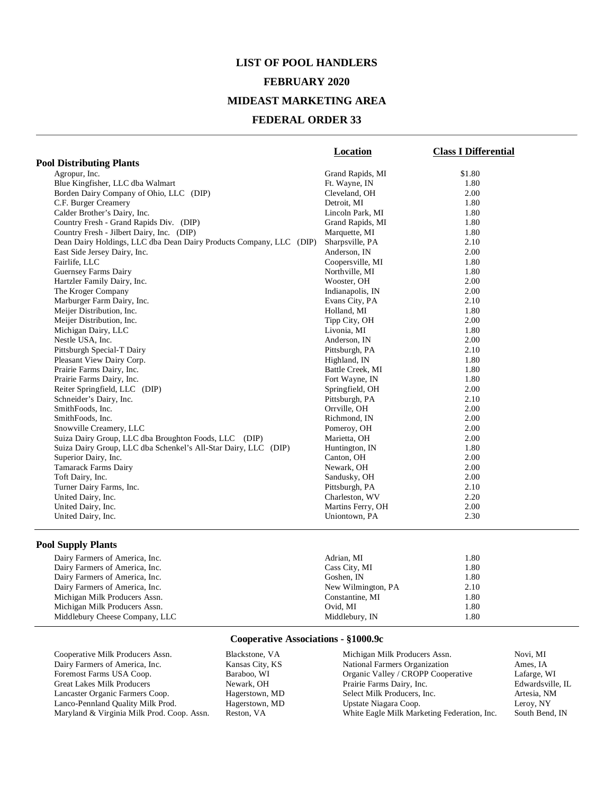### **FEBRUARY 2020**

## **MIDEAST MARKETING AREA**

### **FEDERAL ORDER 33**

|                                                                     | <b>Location</b>    | <b>Class I Differential</b> |
|---------------------------------------------------------------------|--------------------|-----------------------------|
| <b>Pool Distributing Plants</b>                                     |                    |                             |
| Agropur, Inc.                                                       | Grand Rapids, MI   | \$1.80                      |
| Blue Kingfisher, LLC dba Walmart                                    | Ft. Wayne, IN      | 1.80                        |
| Borden Dairy Company of Ohio, LLC (DIP)                             | Cleveland, OH      | 2.00                        |
| C.F. Burger Creamery                                                | Detroit, MI        | 1.80                        |
| Calder Brother's Dairy, Inc.                                        | Lincoln Park, MI   | 1.80                        |
| Country Fresh - Grand Rapids Div. (DIP)                             | Grand Rapids, MI   | 1.80                        |
| Country Fresh - Jilbert Dairy, Inc. (DIP)                           | Marquette, MI      | 1.80                        |
| Dean Dairy Holdings, LLC dba Dean Dairy Products Company, LLC (DIP) | Sharpsville, PA    | 2.10                        |
| East Side Jersey Dairy, Inc.                                        | Anderson, IN       | 2.00                        |
| Fairlife, LLC                                                       | Coopersville, MI   | 1.80                        |
| Guernsey Farms Dairy                                                | Northville, MI     | 1.80                        |
| Hartzler Family Dairy, Inc.                                         | Wooster, OH        | 2.00                        |
| The Kroger Company                                                  | Indianapolis, IN   | 2.00                        |
| Marburger Farm Dairy, Inc.                                          | Evans City, PA     | 2.10                        |
| Meijer Distribution, Inc.                                           | Holland, MI        | 1.80                        |
| Meijer Distribution, Inc.                                           | Tipp City, OH      | 2.00                        |
| Michigan Dairy, LLC                                                 | Livonia, MI        | 1.80                        |
| Nestle USA, Inc.                                                    | Anderson, IN       | 2.00                        |
| Pittsburgh Special-T Dairy                                          | Pittsburgh, PA     | 2.10                        |
| Pleasant View Dairy Corp.                                           | Highland, IN       | 1.80                        |
| Prairie Farms Dairy, Inc.                                           | Battle Creek, MI   | 1.80                        |
| Prairie Farms Dairy, Inc.                                           | Fort Wayne, IN     | 1.80                        |
| Reiter Springfield, LLC (DIP)                                       | Springfield, OH    | 2.00                        |
| Schneider's Dairy, Inc.                                             | Pittsburgh, PA     | 2.10                        |
| SmithFoods, Inc.                                                    | Orrville, OH       | 2.00                        |
| SmithFoods, Inc.                                                    | Richmond, IN       | 2.00                        |
| Snowville Creamery, LLC                                             | Pomeroy, OH        | 2.00                        |
| Suiza Dairy Group, LLC dba Broughton Foods, LLC (DIP)               | Marietta, OH       | 2.00                        |
| Suiza Dairy Group, LLC dba Schenkel's All-Star Dairy, LLC (DIP)     | Huntington, IN     | 1.80                        |
| Superior Dairy, Inc.                                                | Canton, OH         | 2.00                        |
| Tamarack Farms Dairy                                                | Newark, OH         | 2.00                        |
| Toft Dairy, Inc.                                                    | Sandusky, OH       | 2.00                        |
| Turner Dairy Farms, Inc.                                            | Pittsburgh, PA     | 2.10                        |
| United Dairy, Inc.                                                  | Charleston, WV     | 2.20                        |
| United Dairy, Inc.                                                  | Martins Ferry, OH  | 2.00                        |
| United Dairy, Inc.                                                  | Uniontown, PA      | 2.30                        |
|                                                                     |                    |                             |
| <b>Pool Supply Plants</b>                                           |                    |                             |
| Dairy Farmers of America, Inc.                                      | Adrian, MI         | 1.80                        |
| Dairy Farmers of America, Inc.                                      | Cass City, MI      | 1.80                        |
| Dairy Farmers of America, Inc.                                      | Goshen, IN         | 1.80                        |
| Dairy Farmers of America, Inc.                                      | New Wilmington, PA | 2.10                        |
| Michigan Milk Producers Assn.                                       | Constantine, MI    | 1.80                        |
| Michigan Milk Producers Assn.                                       | Ovid, MI           | 1.80                        |
| Middlebury Cheese Company, LLC                                      | Middlebury, IN     | 1.80                        |

| Cooperative Milk Producers Assn.           | Blackstone, VA  | Michigan Milk Producers Assn.               | Novi, MI         |
|--------------------------------------------|-----------------|---------------------------------------------|------------------|
| Dairy Farmers of America, Inc.             | Kansas City, KS | National Farmers Organization               | Ames. IA         |
| Foremost Farms USA Coop.                   | Baraboo, WI     | Organic Valley / CROPP Cooperative          | Lafarge, WI      |
| <b>Great Lakes Milk Producers</b>          | Newark, OH      | Prairie Farms Dairy, Inc.                   | Edwardsville, IL |
| Lancaster Organic Farmers Coop.            | Hagerstown, MD  | Select Milk Producers, Inc.                 | Artesia, NM      |
| Lanco-Pennland Quality Milk Prod.          | Hagerstown, MD  | Upstate Niagara Coop.                       | Leroy, NY        |
| Maryland & Virginia Milk Prod. Coop. Assn. | Reston, VA      | White Eagle Milk Marketing Federation, Inc. | South Bend, IN   |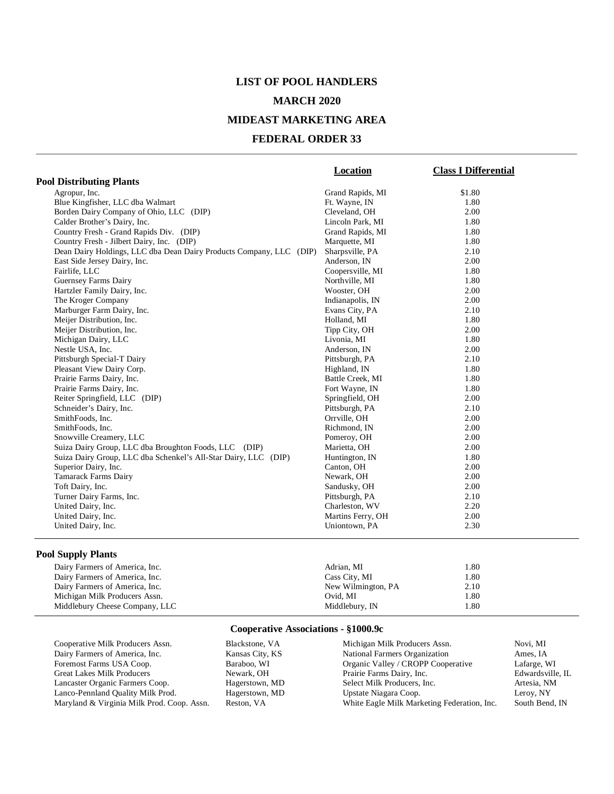# **LIST OF POOL HANDLERS MARCH 2020**

#### **MIDEAST MARKETING AREA**

#### **FEDERAL ORDER 33**

|                                                                     | Location          | <b>Class I Differential</b> |
|---------------------------------------------------------------------|-------------------|-----------------------------|
| <b>Pool Distributing Plants</b>                                     |                   |                             |
| Agropur, Inc.                                                       | Grand Rapids, MI  | \$1.80                      |
| Blue Kingfisher, LLC dba Walmart                                    | Ft. Wayne, IN     | 1.80                        |
| Borden Dairy Company of Ohio, LLC (DIP)                             | Cleveland, OH     | 2.00                        |
| Calder Brother's Dairy, Inc.                                        | Lincoln Park, MI  | 1.80                        |
| Country Fresh - Grand Rapids Div. (DIP)                             | Grand Rapids, MI  | 1.80                        |
| Country Fresh - Jilbert Dairy, Inc. (DIP)                           | Marquette, MI     | 1.80                        |
| Dean Dairy Holdings, LLC dba Dean Dairy Products Company, LLC (DIP) | Sharpsville, PA   | 2.10                        |
| East Side Jersey Dairy, Inc.                                        | Anderson, IN      | 2.00                        |
| Fairlife, LLC                                                       | Coopersville, MI  | 1.80                        |
| Guernsey Farms Dairy                                                | Northville, MI    | 1.80                        |
| Hartzler Family Dairy, Inc.                                         | Wooster, OH       | 2.00                        |
| The Kroger Company                                                  | Indianapolis, IN  | 2.00                        |
| Marburger Farm Dairy, Inc.                                          | Evans City, PA    | 2.10                        |
| Meijer Distribution, Inc.                                           | Holland, MI       | 1.80                        |
| Meijer Distribution, Inc.                                           | Tipp City, OH     | 2.00                        |
| Michigan Dairy, LLC                                                 | Livonia, MI       | 1.80                        |
| Nestle USA, Inc.                                                    | Anderson, IN      | 2.00                        |
| Pittsburgh Special-T Dairy                                          | Pittsburgh, PA    | 2.10                        |
| Pleasant View Dairy Corp.                                           | Highland, IN      | 1.80                        |
| Prairie Farms Dairy, Inc.                                           | Battle Creek, MI  | 1.80                        |
| Prairie Farms Dairy, Inc.                                           | Fort Wayne, IN    | 1.80                        |
| Reiter Springfield, LLC (DIP)                                       | Springfield, OH   | 2.00                        |
| Schneider's Dairy, Inc.                                             | Pittsburgh, PA    | 2.10                        |
| SmithFoods, Inc.                                                    | Orrville, OH      | 2.00                        |
| SmithFoods, Inc.                                                    | Richmond, IN      | 2.00                        |
| Snowville Creamery, LLC                                             | Pomeroy, OH       | 2.00                        |
| Suiza Dairy Group, LLC dba Broughton Foods, LLC (DIP)               | Marietta, OH      | 2.00                        |
| Suiza Dairy Group, LLC dba Schenkel's All-Star Dairy, LLC (DIP)     | Huntington, IN    | 1.80                        |
| Superior Dairy, Inc.                                                | Canton, OH        | 2.00                        |
| <b>Tamarack Farms Dairy</b>                                         | Newark, OH        | 2.00                        |
| Toft Dairy, Inc.                                                    | Sandusky, OH      | 2.00                        |
| Turner Dairy Farms, Inc.                                            | Pittsburgh, PA    | 2.10                        |
| United Dairy, Inc.                                                  | Charleston, WV    | 2.20                        |
| United Dairy, Inc.                                                  | Martins Ferry, OH | 2.00                        |
| United Dairy, Inc.                                                  | Uniontown, PA     | 2.30                        |

#### **Pool Supply Plants**

| Dairy Farmers of America, Inc. | Adrian, MI         | 1.80 |
|--------------------------------|--------------------|------|
| Dairy Farmers of America, Inc. | Cass City, MI      | 1.80 |
| Dairy Farmers of America, Inc. | New Wilmington, PA | 2.10 |
| Michigan Milk Producers Assn.  | Ovid. MI           | 1.80 |
| Middlebury Cheese Company, LLC | Middlebury, IN     | 1.80 |

| Cooperative Milk Producers Assn.           | Blackstone, VA  | Michigan Milk Producers Assn.               | Novi, MI         |
|--------------------------------------------|-----------------|---------------------------------------------|------------------|
| Dairy Farmers of America, Inc.             | Kansas City, KS | National Farmers Organization               | Ames. IA         |
| Foremost Farms USA Coop.                   | Baraboo, WI     | Organic Valley / CROPP Cooperative          | Lafarge, WI      |
| <b>Great Lakes Milk Producers</b>          | Newark, OH      | Prairie Farms Dairy, Inc.                   | Edwardsville, IL |
| Lancaster Organic Farmers Coop.            | Hagerstown, MD  | Select Milk Producers, Inc.                 | Artesia. NM      |
| Lanco-Pennland Quality Milk Prod.          | Hagerstown, MD  | Upstate Niagara Coop.                       | Leroy, NY        |
| Maryland & Virginia Milk Prod. Coop. Assn. | Reston, VA      | White Eagle Milk Marketing Federation, Inc. | South Bend, IN   |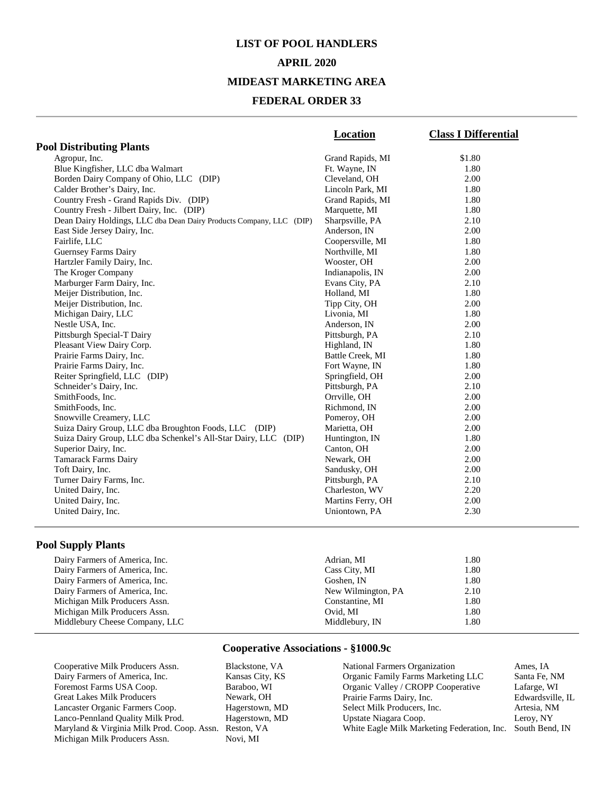#### **APRIL 2020**

#### **MIDEAST MARKETING AREA**

#### **FEDERAL ORDER 33**

|                                                                     | Location          | <b>Class I Differential</b> |
|---------------------------------------------------------------------|-------------------|-----------------------------|
| <b>Pool Distributing Plants</b>                                     |                   |                             |
| Agropur, Inc.                                                       | Grand Rapids, MI  | \$1.80                      |
| Blue Kingfisher, LLC dba Walmart                                    | Ft. Wayne, IN     | 1.80                        |
| Borden Dairy Company of Ohio, LLC (DIP)                             | Cleveland, OH     | 2.00                        |
| Calder Brother's Dairy, Inc.                                        | Lincoln Park, MI  | 1.80                        |
| Country Fresh - Grand Rapids Div. (DIP)                             | Grand Rapids, MI  | 1.80                        |
| Country Fresh - Jilbert Dairy, Inc. (DIP)                           | Marquette, MI     | 1.80                        |
| Dean Dairy Holdings, LLC dba Dean Dairy Products Company, LLC (DIP) | Sharpsville, PA   | 2.10                        |
| East Side Jersey Dairy, Inc.                                        | Anderson, IN      | 2.00                        |
| Fairlife, LLC                                                       | Coopersville, MI  | 1.80                        |
| <b>Guernsey Farms Dairy</b>                                         | Northville, MI    | 1.80                        |
| Hartzler Family Dairy, Inc.                                         | Wooster, OH       | 2.00                        |
| The Kroger Company                                                  | Indianapolis, IN  | 2.00                        |
| Marburger Farm Dairy, Inc.                                          | Evans City, PA    | 2.10                        |
| Meijer Distribution, Inc.                                           | Holland, MI       | 1.80                        |
| Meijer Distribution, Inc.                                           | Tipp City, OH     | 2.00                        |
| Michigan Dairy, LLC                                                 | Livonia, MI       | 1.80                        |
| Nestle USA. Inc.                                                    | Anderson. IN      | 2.00                        |
| Pittsburgh Special-T Dairy                                          | Pittsburgh, PA    | 2.10                        |
| Pleasant View Dairy Corp.                                           | Highland, IN      | 1.80                        |
| Prairie Farms Dairy, Inc.                                           | Battle Creek, MI  | 1.80                        |
| Prairie Farms Dairy, Inc.                                           | Fort Wayne, IN    | 1.80                        |
| Reiter Springfield, LLC (DIP)                                       | Springfield, OH   | 2.00                        |
| Schneider's Dairy, Inc.                                             | Pittsburgh, PA    | 2.10                        |
| SmithFoods, Inc.                                                    | Orrville, OH      | 2.00                        |
| SmithFoods, Inc.                                                    | Richmond, IN      | 2.00                        |
| Snowville Creamery, LLC                                             | Pomeroy, OH       | 2.00                        |
| Suiza Dairy Group, LLC dba Broughton Foods, LLC (DIP)               | Marietta, OH      | 2.00                        |
| Suiza Dairy Group, LLC dba Schenkel's All-Star Dairy, LLC (DIP)     | Huntington, IN    | 1.80                        |
| Superior Dairy, Inc.                                                | Canton, OH        | 2.00                        |
| <b>Tamarack Farms Dairy</b>                                         | Newark, OH        | 2.00                        |
| Toft Dairy, Inc.                                                    | Sandusky, OH      | 2.00                        |
| Turner Dairy Farms, Inc.                                            | Pittsburgh, PA    | 2.10                        |
| United Dairy, Inc.                                                  | Charleston, WV    | 2.20                        |
| United Dairy, Inc.                                                  | Martins Ferry, OH | 2.00                        |
| United Dairy, Inc.                                                  | Uniontown, PA     | 2.30                        |
|                                                                     |                   |                             |

### **Pool Supply Plants**

| Dairy Farmers of America, Inc. | Adrian, MI         | 1.80 |  |
|--------------------------------|--------------------|------|--|
| Dairy Farmers of America, Inc. | Cass City, MI      | 1.80 |  |
| Dairy Farmers of America, Inc. | Goshen. IN         | 1.80 |  |
| Dairy Farmers of America, Inc. | New Wilmington, PA | 2.10 |  |
| Michigan Milk Producers Assn.  | Constantine, MI    | 1.80 |  |
| Michigan Milk Producers Assn.  | Ovid. MI           | 1.80 |  |
| Middlebury Cheese Company, LLC | Middlebury, IN     | 1.80 |  |

#### **Cooperative Associations - §1000.9c**

Cooperative Milk Producers Assn. Blackstone, VA Dairy Farmers of America, Inc. Kansas City, KS Foremost Farms USA Coop. Baraboo, WI Great Lakes Milk Producers<br>
Lancaster Organic Farmers Coop.<br>
Hagerstown, MD Lancaster Organic Farmers Coop. Hagerstown, MD<br>
Lanco-Pennland Quality Milk Prod. Hagerstown, MD Lanco-Pennland Quality Milk Prod. Maryland & Virginia Milk Prod. Coop. Assn. Reston, VA Michigan Milk Producers Assn.

National Farmers Organization Ames, IA Organic Family Farms Marketing LLC Santa Fe, NM Organic Valley / CROPP Cooperative Lafarge, WI<br>Prairie Farms Dairy, Inc. Bdwardsville, IL Prairie Farms Dairy, Inc. Edwardsville<br>
Select Milk Producers, Inc. Artesia, NM Select Milk Producers, Inc. <br>
1991 - Artesia, NJ<br>
1991 - Leroy, NY<br>
Leroy, NY Upstate Niagara Coop. White Eagle Milk Marketing Federation, Inc. South Bend, IN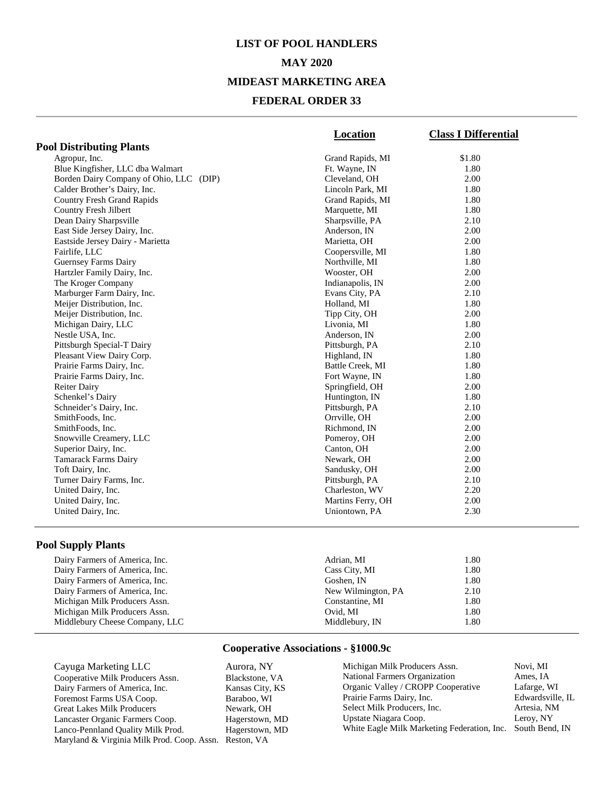# **LIST OF POOL HANDLERS MAY 2020 MIDEAST MARKETING AREA**

#### **FEDERAL ORDER 33**

|                                         | Location          | <b>Class I Differential</b> |
|-----------------------------------------|-------------------|-----------------------------|
| <b>Pool Distributing Plants</b>         |                   |                             |
| Agropur, Inc.                           | Grand Rapids, MI  | \$1.80                      |
| Blue Kingfisher, LLC dba Walmart        | Ft. Wayne, IN     | 1.80                        |
| Borden Dairy Company of Ohio, LLC (DIP) | Cleveland, OH     | 2.00                        |
| Calder Brother's Dairy, Inc.            | Lincoln Park, MI  | 1.80                        |
| <b>Country Fresh Grand Rapids</b>       | Grand Rapids, MI  | 1.80                        |
| Country Fresh Jilbert                   | Marquette, MI     | 1.80                        |
| Dean Dairy Sharpsville                  | Sharpsville, PA   | 2.10                        |
| East Side Jersey Dairy, Inc.            | Anderson, IN      | 2.00                        |
| Eastside Jersey Dairy - Marietta        | Marietta, OH      | 2.00                        |
| Fairlife, LLC                           | Coopersville, MI  | 1.80                        |
| <b>Guernsey Farms Dairy</b>             | Northville, MI    | 1.80                        |
| Hartzler Family Dairy, Inc.             | Wooster, OH       | 2.00                        |
| The Kroger Company                      | Indianapolis, IN  | 2.00                        |
| Marburger Farm Dairy, Inc.              | Evans City, PA    | 2.10                        |
| Meijer Distribution, Inc.               | Holland, MI       | 1.80                        |
| Meijer Distribution, Inc.               | Tipp City, OH     | 2.00                        |
| Michigan Dairy, LLC                     | Livonia, MI       | 1.80                        |
| Nestle USA, Inc.                        | Anderson, IN      | 2.00                        |
| Pittsburgh Special-T Dairy              | Pittsburgh, PA    | 2.10                        |
| Pleasant View Dairy Corp.               | Highland, IN      | 1.80                        |
| Prairie Farms Dairy, Inc.               | Battle Creek, MI  | 1.80                        |
| Prairie Farms Dairy, Inc.               | Fort Wayne, IN    | 1.80                        |
| <b>Reiter Dairy</b>                     | Springfield, OH   | 2.00                        |
| Schenkel's Dairy                        | Huntington, IN    | 1.80                        |
| Schneider's Dairy, Inc.                 | Pittsburgh, PA    | 2.10                        |
| SmithFoods, Inc.                        | Orrville, OH      | 2.00                        |
| SmithFoods, Inc.                        | Richmond, IN      | 2.00                        |
| Snowville Creamery, LLC                 | Pomeroy, OH       | 2.00                        |
| Superior Dairy, Inc.                    | Canton, OH        | 2.00                        |
| <b>Tamarack Farms Dairy</b>             | Newark, OH        | 2.00                        |
| Toft Dairy, Inc.                        | Sandusky, OH      | 2.00                        |
| Turner Dairy Farms, Inc.                | Pittsburgh, PA    | 2.10                        |
| United Dairy, Inc.                      | Charleston, WV    | 2.20                        |
| United Dairy, Inc.                      | Martins Ferry, OH | 2.00                        |
| United Dairy, Inc.                      | Uniontown, PA     | 2.30                        |
|                                         |                   |                             |

## **Pool Supply Plants**

| Dairy Farmers of America, Inc. | Adrian, MI         | 1.80 |  |
|--------------------------------|--------------------|------|--|
| Dairy Farmers of America, Inc. | Cass City, MI      | 1.80 |  |
| Dairy Farmers of America, Inc. | Goshen, IN         | 1.80 |  |
| Dairy Farmers of America, Inc. | New Wilmington, PA | 2.10 |  |
| Michigan Milk Producers Assn.  | Constantine, MI    | 1.80 |  |
| Michigan Milk Producers Assn.  | Ovid. MI           | 1.80 |  |
| Middlebury Cheese Company, LLC | Middlebury, IN     | 1.80 |  |
|                                |                    |      |  |

## **Cooperative Associations - §1000.9c**

Cayuga Marketing LLC <br>
Cooperative Milk Producers Assn. Blackstone, VA Cooperative Milk Producers Assn. Blackstone, VA<br>
Dairy Farmers of America, Inc. Kansas City, KS Dairy Farmers of America, Inc. Foremost Farms USA Coop. Baraboo, WI Great Lakes Milk Producers Newark, OH Lancaster Organic Farmers Coop. Hagerstown, MD<br>
Lanco-Pennland Quality Milk Prod. Hagerstown, MD Lanco-Pennland Quality Milk Prod. Maryland & Virginia Milk Prod. Coop. Assn. Reston, VA

| Michigan Milk Producers Assn.                              | Novi, MI         |
|------------------------------------------------------------|------------------|
| National Farmers Organization                              | Ames, IA         |
| Organic Valley / CROPP Cooperative                         | Lafarge, WI      |
| Prairie Farms Dairy, Inc.                                  | Edwardsville, IL |
| Select Milk Producers, Inc.                                | Artesia, NM      |
| Upstate Niagara Coop.                                      | Leroy, NY        |
| White Eagle Milk Marketing Federation, Inc. South Bend, IN |                  |
|                                                            |                  |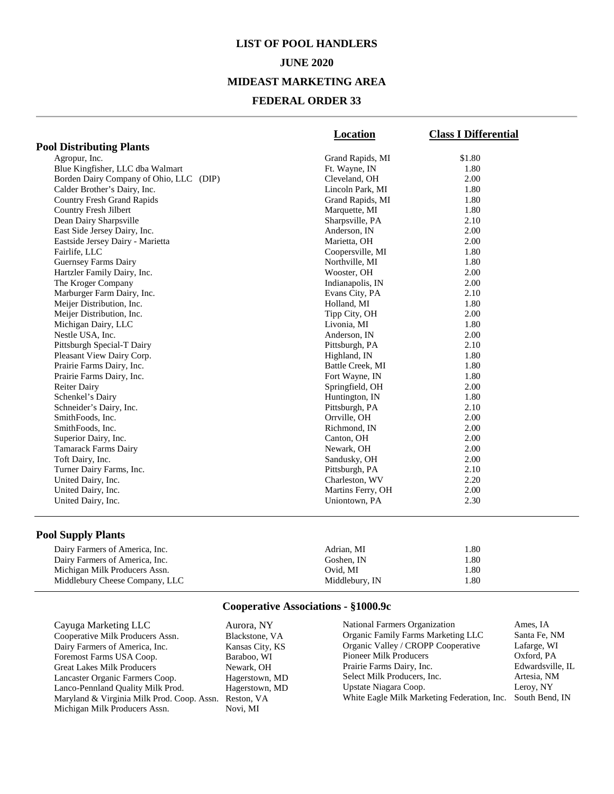## **JUNE 2020**

### **MIDEAST MARKETING AREA**

## **FEDERAL ORDER 33**

|                                         | Location          | <b>Class I Differential</b> |
|-----------------------------------------|-------------------|-----------------------------|
| <b>Pool Distributing Plants</b>         |                   |                             |
| Agropur, Inc.                           | Grand Rapids, MI  | \$1.80                      |
| Blue Kingfisher, LLC dba Walmart        | Ft. Wayne, IN     | 1.80                        |
| Borden Dairy Company of Ohio, LLC (DIP) | Cleveland, OH     | 2.00                        |
| Calder Brother's Dairy, Inc.            | Lincoln Park, MI  | 1.80                        |
| <b>Country Fresh Grand Rapids</b>       | Grand Rapids, MI  | 1.80                        |
| Country Fresh Jilbert                   | Marquette, MI     | 1.80                        |
| Dean Dairy Sharpsville                  | Sharpsville, PA   | 2.10                        |
| East Side Jersey Dairy, Inc.            | Anderson, IN      | 2.00                        |
| Eastside Jersey Dairy - Marietta        | Marietta, OH      | 2.00                        |
| Fairlife, LLC                           | Coopersville, MI  | 1.80                        |
| Guernsey Farms Dairy                    | Northville, MI    | 1.80                        |
| Hartzler Family Dairy, Inc.             | Wooster, OH       | 2.00                        |
| The Kroger Company                      | Indianapolis, IN  | 2.00                        |
| Marburger Farm Dairy, Inc.              | Evans City, PA    | 2.10                        |
| Meijer Distribution, Inc.               | Holland, MI       | 1.80                        |
| Meijer Distribution, Inc.               | Tipp City, OH     | 2.00                        |
| Michigan Dairy, LLC                     | Livonia, MI       | 1.80                        |
| Nestle USA, Inc.                        | Anderson, IN      | 2.00                        |
| Pittsburgh Special-T Dairy              | Pittsburgh, PA    | 2.10                        |
| Pleasant View Dairy Corp.               | Highland, IN      | 1.80                        |
| Prairie Farms Dairy, Inc.               | Battle Creek, MI  | 1.80                        |
| Prairie Farms Dairy, Inc.               | Fort Wayne, IN    | 1.80                        |
| <b>Reiter Dairy</b>                     | Springfield, OH   | 2.00                        |
| Schenkel's Dairy                        | Huntington, IN    | 1.80                        |
| Schneider's Dairy, Inc.                 | Pittsburgh, PA    | 2.10                        |
| SmithFoods, Inc.                        | Orrville, OH      | 2.00                        |
| SmithFoods, Inc.                        | Richmond, IN      | 2.00                        |
| Superior Dairy, Inc.                    | Canton, OH        | 2.00                        |
| <b>Tamarack Farms Dairy</b>             | Newark, OH        | 2.00                        |
| Toft Dairy, Inc.                        | Sandusky, OH      | 2.00                        |
| Turner Dairy Farms, Inc.                | Pittsburgh, PA    | 2.10                        |
| United Dairy, Inc.                      | Charleston, WV    | 2.20                        |
| United Dairy, Inc.                      | Martins Ferry, OH | 2.00                        |
| United Dairy, Inc.                      | Uniontown, PA     | 2.30                        |
|                                         |                   |                             |

## **Pool Supply Plants**

| Dairy Farmers of America, Inc. | Adrian, MI     | .80    |
|--------------------------------|----------------|--------|
| Dairy Farmers of America, Inc. | Goshen. IN     | . . 80 |
| Michigan Milk Producers Assn.  | Ovid. MI       | . . 80 |
| Middlebury Cheese Company, LLC | Middlebury, IN | .80    |

| Cayuga Marketing LLC                                  | Aurora, NY      | National Farmers Organization                              | Ames. IA         |
|-------------------------------------------------------|-----------------|------------------------------------------------------------|------------------|
| Cooperative Milk Producers Assn.                      | Blackstone, VA  | Organic Family Farms Marketing LLC                         | Santa Fe, NM     |
| Dairy Farmers of America, Inc.                        | Kansas City, KS | Organic Valley / CROPP Cooperative                         | Lafarge, WI      |
| Foremost Farms USA Coop.                              | Baraboo. WI     | <b>Pioneer Milk Producers</b>                              | Oxford, PA       |
| Great Lakes Milk Producers                            | Newark, OH      | Prairie Farms Dairy, Inc.                                  | Edwardsville, IL |
| Lancaster Organic Farmers Coop.                       | Hagerstown, MD  | Select Milk Producers, Inc.                                | Artesia. NM      |
| Lanco-Pennland Quality Milk Prod.                     | Hagerstown, MD  | Upstate Niagara Coop.                                      | Leroy, NY        |
| Maryland & Virginia Milk Prod. Coop. Assn. Reston, VA |                 | White Eagle Milk Marketing Federation, Inc. South Bend, IN |                  |
| Michigan Milk Producers Assn.                         | Novi, MI        |                                                            |                  |
|                                                       |                 |                                                            |                  |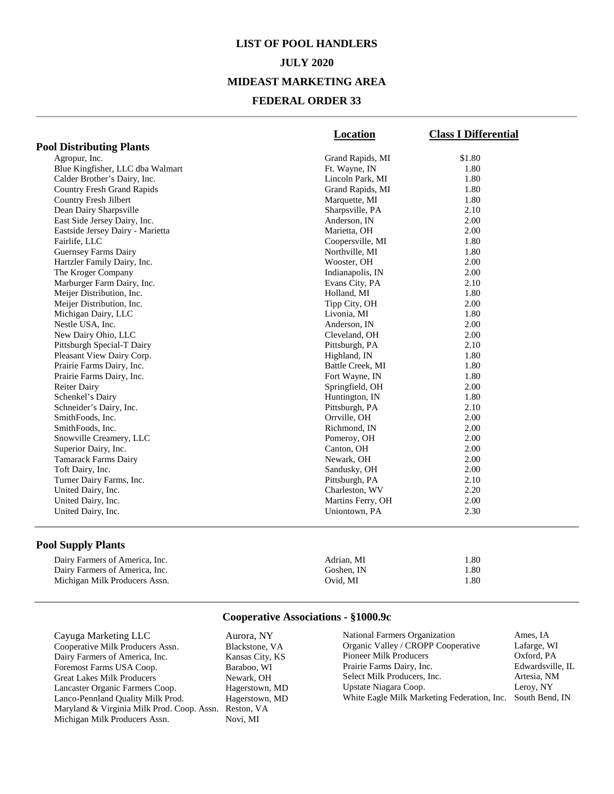# **LIST OF POOL HANDLERS JULY 2020 MIDEAST MARKETING AREA FEDERAL ORDER 33**

|                                   | <b>Location</b>   | <b>Class I Differential</b> |
|-----------------------------------|-------------------|-----------------------------|
| <b>Pool Distributing Plants</b>   |                   |                             |
| Agropur, Inc.                     | Grand Rapids, MI  | \$1.80                      |
| Blue Kingfisher, LLC dba Walmart  | Ft. Wayne, IN     | 1.80                        |
| Calder Brother's Dairy, Inc.      | Lincoln Park, MI  | 1.80                        |
| <b>Country Fresh Grand Rapids</b> | Grand Rapids, MI  | 1.80                        |
| Country Fresh Jilbert             | Marquette, MI     | 1.80                        |
| Dean Dairy Sharpsville            | Sharpsville, PA   | 2.10                        |
| East Side Jersey Dairy, Inc.      | Anderson, IN      | 2.00                        |
| Eastside Jersey Dairy - Marietta  | Marietta, OH      | 2.00                        |
| Fairlife, LLC                     | Coopersville, MI  | 1.80                        |
| Guernsey Farms Dairy              | Northville, MI    | 1.80                        |
| Hartzler Family Dairy, Inc.       | Wooster, OH       | 2.00                        |
| The Kroger Company                | Indianapolis, IN  | 2.00                        |
| Marburger Farm Dairy, Inc.        | Evans City, PA    | 2.10                        |
| Meijer Distribution, Inc.         | Holland, MI       | 1.80                        |
| Meijer Distribution, Inc.         | Tipp City, OH     | 2.00                        |
| Michigan Dairy, LLC               | Livonia, MI       | 1.80                        |
| Nestle USA, Inc.                  | Anderson, IN      | 2.00                        |
| New Dairy Ohio, LLC               | Cleveland, OH     | 2.00                        |
| Pittsburgh Special-T Dairy        | Pittsburgh, PA    | 2.10                        |
| Pleasant View Dairy Corp.         | Highland, IN      | 1.80                        |
| Prairie Farms Dairy, Inc.         | Battle Creek, MI  | 1.80                        |
| Prairie Farms Dairy, Inc.         | Fort Wayne, IN    | 1.80                        |
| <b>Reiter Dairy</b>               | Springfield, OH   | 2.00                        |
| Schenkel's Dairy                  | Huntington, IN    | 1.80                        |
| Schneider's Dairy, Inc.           | Pittsburgh, PA    | 2.10                        |
| SmithFoods, Inc.                  | Orrville, OH      | 2.00                        |
| SmithFoods, Inc.                  | Richmond, IN      | 2.00                        |
| Snowville Creamery, LLC           | Pomeroy, OH       | 2.00                        |
| Superior Dairy, Inc.              | Canton, OH        | 2.00                        |
| Tamarack Farms Dairy              | Newark, OH        | 2.00                        |
| Toft Dairy, Inc.                  | Sandusky, OH      | 2.00                        |
| Turner Dairy Farms, Inc.          | Pittsburgh, PA    | 2.10                        |
| United Dairy, Inc.                | Charleston, WV    | 2.20                        |
| United Dairy, Inc.                | Martins Ferry, OH | 2.00                        |
| United Dairy, Inc.                | Uniontown, PA     | 2.30                        |

## **Pool Supply Plants**

| Dairy Farmers of America, Inc. | Adrian, MI | 1.80 |
|--------------------------------|------------|------|
| Dairy Farmers of America, Inc. | Goshen. IN | 1.80 |
| Michigan Milk Producers Assn.  | Ovid. MI   | 1.80 |

| Cayuga Marketing LLC                                  | Aurora, NY      | National Farmers Organization                              | Ames, IA         |
|-------------------------------------------------------|-----------------|------------------------------------------------------------|------------------|
| Cooperative Milk Producers Assn.                      | Blackstone, VA  | Organic Valley / CROPP Cooperative                         | Lafarge, WI      |
| Dairy Farmers of America, Inc.                        | Kansas City, KS | <b>Pioneer Milk Producers</b>                              | Oxford, PA       |
| Foremost Farms USA Coop.                              | Baraboo, WI     | Prairie Farms Dairy, Inc.                                  | Edwardsville, IL |
| Great Lakes Milk Producers                            | Newark, OH      | Select Milk Producers, Inc.                                | Artesia, NM      |
| Lancaster Organic Farmers Coop.                       | Hagerstown, MD  | Upstate Niagara Coop.                                      | Leroy, NY        |
| Lanco-Pennland Quality Milk Prod.                     | Hagerstown, MD  | White Eagle Milk Marketing Federation, Inc. South Bend, IN |                  |
| Maryland & Virginia Milk Prod. Coop. Assn. Reston, VA |                 |                                                            |                  |
| Michigan Milk Producers Assn.                         | Novi. MI        |                                                            |                  |
|                                                       |                 |                                                            |                  |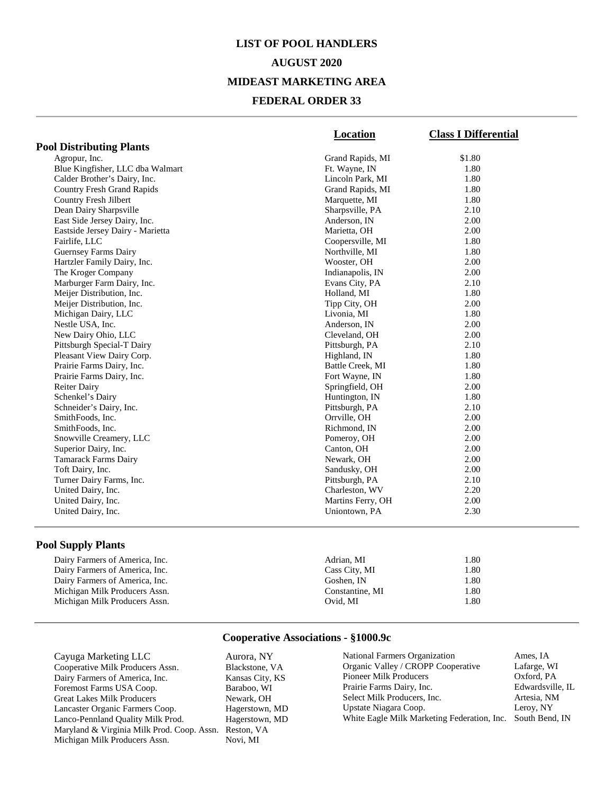# **LIST OF POOL HANDLERS AUGUST 2020 MIDEAST MARKETING AREA FEDERAL ORDER 33**

|                                   | Location          | <b>Class I Differential</b> |
|-----------------------------------|-------------------|-----------------------------|
| <b>Pool Distributing Plants</b>   |                   |                             |
| Agropur, Inc.                     | Grand Rapids, MI  | \$1.80                      |
| Blue Kingfisher, LLC dba Walmart  | Ft. Wayne, IN     | 1.80                        |
| Calder Brother's Dairy, Inc.      | Lincoln Park, MI  | 1.80                        |
| <b>Country Fresh Grand Rapids</b> | Grand Rapids, MI  | 1.80                        |
| Country Fresh Jilbert             | Marquette, MI     | 1.80                        |
| Dean Dairy Sharpsville            | Sharpsville, PA   | 2.10                        |
| East Side Jersey Dairy, Inc.      | Anderson, IN      | 2.00                        |
| Eastside Jersey Dairy - Marietta  | Marietta, OH      | 2.00                        |
| Fairlife, LLC                     | Coopersville, MI  | 1.80                        |
| Guernsey Farms Dairy              | Northville, MI    | 1.80                        |
| Hartzler Family Dairy, Inc.       | Wooster, OH       | 2.00                        |
| The Kroger Company                | Indianapolis, IN  | 2.00                        |
| Marburger Farm Dairy, Inc.        | Evans City, PA    | 2.10                        |
| Meijer Distribution, Inc.         | Holland, MI       | 1.80                        |
| Meijer Distribution, Inc.         | Tipp City, OH     | 2.00                        |
| Michigan Dairy, LLC               | Livonia, MI       | 1.80                        |
| Nestle USA, Inc.                  | Anderson, IN      | 2.00                        |
| New Dairy Ohio, LLC               | Cleveland, OH     | 2.00                        |
| Pittsburgh Special-T Dairy        | Pittsburgh, PA    | 2.10                        |
| Pleasant View Dairy Corp.         | Highland, IN      | 1.80                        |
| Prairie Farms Dairy, Inc.         | Battle Creek, MI  | 1.80                        |
| Prairie Farms Dairy, Inc.         | Fort Wayne, IN    | 1.80                        |
| <b>Reiter Dairy</b>               | Springfield, OH   | 2.00                        |
| Schenkel's Dairy                  | Huntington, IN    | 1.80                        |
| Schneider's Dairy, Inc.           | Pittsburgh, PA    | 2.10                        |
| SmithFoods, Inc.                  | Orrville, OH      | 2.00                        |
| SmithFoods, Inc.                  | Richmond, IN      | 2.00                        |
| Snowville Creamery, LLC           | Pomeroy, OH       | 2.00                        |
| Superior Dairy, Inc.              | Canton, OH        | 2.00                        |
| <b>Tamarack Farms Dairy</b>       | Newark, OH        | 2.00                        |
| Toft Dairy, Inc.                  | Sandusky, OH      | 2.00                        |
| Turner Dairy Farms, Inc.          | Pittsburgh, PA    | 2.10                        |
| United Dairy, Inc.                | Charleston, WV    | 2.20                        |
| United Dairy, Inc.                | Martins Ferry, OH | 2.00                        |
| United Dairy, Inc.                | Uniontown, PA     | 2.30                        |
|                                   |                   |                             |

## **Pool Supply Plants**

Dairy Farmers of America, Inc. Adrian, MI 1.80 Michigan Milk Producers Assn.

# Dairy Farmers of America, Inc.<br>
Dairy Farmers of America, Inc.<br>
1.80<br>
Ooshen, IN
1.80 Dairy Farmers of America, Inc. (1.80) Coshen, IN 1.80<br>
Michigan Milk Producers Assn. (1.80) Constantine, MI 1.80 Michigan Milk Producers Assn. 1.80<br>
Michigan Milk Producers Assn. 1.80<br>
2.80<br>
2.80<br>
2.80<br>
2.80<br>
2.90<br>
2.90<br>
2.90<br>
2.90<br>
2.90<br>
2.90<br>
2.90<br>
2.91<br>
2.91<br>
2.91<br>
3.91<br>
3.91<br>
3.91<br>
3.91<br>
3.91<br>
3.91<br>
3.91<br>
3.91<br>
3.91<br>
3.91<br>
3.91<br>

#### **Cooperative Associations - §1000.9c**

Cayuga Marketing LLC<br>
Cooperative Milk Producers Assn.<br>
Blackstone, VA Cooperative Milk Producers Assn. Blackstone, VA<br>
Dairy Farmers of America, Inc. Kansas City, KS Dairy Farmers of America, Inc. Kansas City,<br>Foremost Farms USA Coop. Baraboo, WI Foremost Farms USA Coop. Great Lakes Milk Producers Newark, OH Lancaster Organic Farmers Coop. Hagerstown, MD Lanco-Pennland Quality Milk Prod. Hagerstown, MD Maryland & Virginia Milk Prod. Coop. Assn. Reston, VA Michigan Milk Producers Assn.

| National Farmers Organization                              | Ames, IA         |
|------------------------------------------------------------|------------------|
| Organic Valley / CROPP Cooperative                         | Lafarge, WI      |
| <b>Pioneer Milk Producers</b>                              | Oxford, PA       |
| Prairie Farms Dairy, Inc.                                  | Edwardsville, IL |
| Select Milk Producers, Inc.                                | Artesia, NM      |
| Upstate Niagara Coop.                                      | Leroy, NY        |
| White Eagle Milk Marketing Federation, Inc. South Bend, IN |                  |
|                                                            |                  |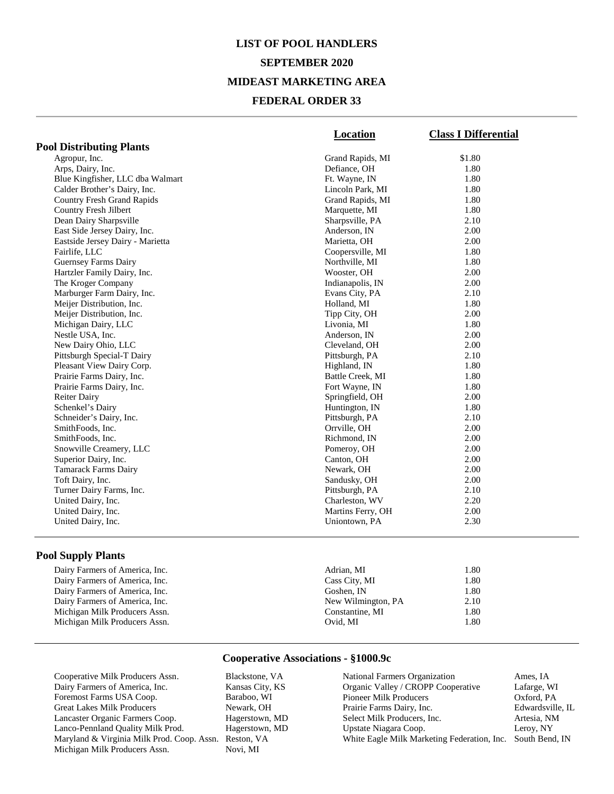# **LIST OF POOL HANDLERS SEPTEMBER 2020 MIDEAST MARKETING AREA FEDERAL ORDER 33**

|                                   | Location          | <b>Class I Differential</b> |
|-----------------------------------|-------------------|-----------------------------|
| <b>Pool Distributing Plants</b>   |                   |                             |
| Agropur, Inc.                     | Grand Rapids, MI  | \$1.80                      |
| Arps, Dairy, Inc.                 | Defiance, OH      | 1.80                        |
| Blue Kingfisher, LLC dba Walmart  | Ft. Wayne, IN     | 1.80                        |
| Calder Brother's Dairy, Inc.      | Lincoln Park, MI  | 1.80                        |
| <b>Country Fresh Grand Rapids</b> | Grand Rapids, MI  | 1.80                        |
| Country Fresh Jilbert             | Marquette, MI     | 1.80                        |
| Dean Dairy Sharpsville            | Sharpsville, PA   | 2.10                        |
| East Side Jersey Dairy, Inc.      | Anderson, IN      | 2.00                        |
| Eastside Jersey Dairy - Marietta  | Marietta, OH      | 2.00                        |
| Fairlife, LLC                     | Coopersville, MI  | 1.80                        |
| <b>Guernsey Farms Dairy</b>       | Northville, MI    | 1.80                        |
| Hartzler Family Dairy, Inc.       | Wooster, OH       | 2.00                        |
| The Kroger Company                | Indianapolis, IN  | 2.00                        |
| Marburger Farm Dairy, Inc.        | Evans City, PA    | 2.10                        |
| Meijer Distribution, Inc.         | Holland, MI       | 1.80                        |
| Meijer Distribution, Inc.         | Tipp City, OH     | 2.00                        |
| Michigan Dairy, LLC               | Livonia, MI       | 1.80                        |
| Nestle USA, Inc.                  | Anderson, IN      | 2.00                        |
| New Dairy Ohio, LLC               | Cleveland, OH     | 2.00                        |
| Pittsburgh Special-T Dairy        | Pittsburgh, PA    | 2.10                        |
| Pleasant View Dairy Corp.         | Highland, IN      | 1.80                        |
| Prairie Farms Dairy, Inc.         | Battle Creek, MI  | 1.80                        |
| Prairie Farms Dairy, Inc.         | Fort Wayne, IN    | 1.80                        |
| <b>Reiter Dairy</b>               | Springfield, OH   | 2.00                        |
| Schenkel's Dairy                  | Huntington, IN    | 1.80                        |
| Schneider's Dairy, Inc.           | Pittsburgh, PA    | 2.10                        |
| SmithFoods, Inc.                  | Orrville, OH      | 2.00                        |
| SmithFoods, Inc.                  | Richmond, IN      | 2.00                        |
| Snowville Creamery, LLC           | Pomeroy, OH       | 2.00                        |
| Superior Dairy, Inc.              | Canton, OH        | 2.00                        |
| Tamarack Farms Dairy              | Newark, OH        | 2.00                        |
| Toft Dairy, Inc.                  | Sandusky, OH      | 2.00                        |
| Turner Dairy Farms, Inc.          | Pittsburgh, PA    | 2.10                        |
| United Dairy, Inc.                | Charleston, WV    | 2.20                        |
| United Dairy, Inc.                | Martins Ferry, OH | 2.00                        |
| United Dairy, Inc.                | Uniontown, PA     | 2.30                        |

#### **Pool Supply Plants**

| Dairy Farmers of America, Inc. | Adrian. MI         | 1.80 |
|--------------------------------|--------------------|------|
| Dairy Farmers of America, Inc. | Cass City, MI      | 1.80 |
| Dairy Farmers of America, Inc. | Goshen. IN         | 1.80 |
| Dairy Farmers of America, Inc. | New Wilmington, PA | 2.10 |
| Michigan Milk Producers Assn.  | Constantine, MI    | 1.80 |
| Michigan Milk Producers Assn.  | Ovid. MI           | 1.80 |

#### **Cooperative Associations - §1000.9c**

Cooperative Milk Producers Assn. Blackstone, VA<br>Dairy Farmers of America, Inc. Kansas City, KS Dairy Farmers of America, Inc. Kansas City, KS Foremost Farms USA Coop. Baraboo, WI<br>Great Lakes Milk Producers Newark, OH Great Lakes Milk Producers Newark, OH<br>
Lancaster Organic Farmers Coop. Hagerstown, MD Lancaster Organic Farmers Coop. Hagerstown, MD<br>
Lanco-Pennland Quality Milk Prod. Hagerstown, MD Lanco-Pennland Quality Milk Prod. Maryland & Virginia Milk Prod. Coop. Assn. Reston, VA Michigan Milk Producers Assn.

| <b>National Farmers Organization</b>                       | Ames, IA         |
|------------------------------------------------------------|------------------|
| Organic Valley / CROPP Cooperative                         | Lafarge, WI      |
| Pioneer Milk Producers                                     | Oxford, PA       |
| Prairie Farms Dairy, Inc.                                  | Edwardsville, IL |
| Select Milk Producers, Inc.                                | Artesia, NM      |
| Upstate Niagara Coop.                                      | Leroy, NY        |
| White Eagle Milk Marketing Federation, Inc. South Bend, IN |                  |
|                                                            |                  |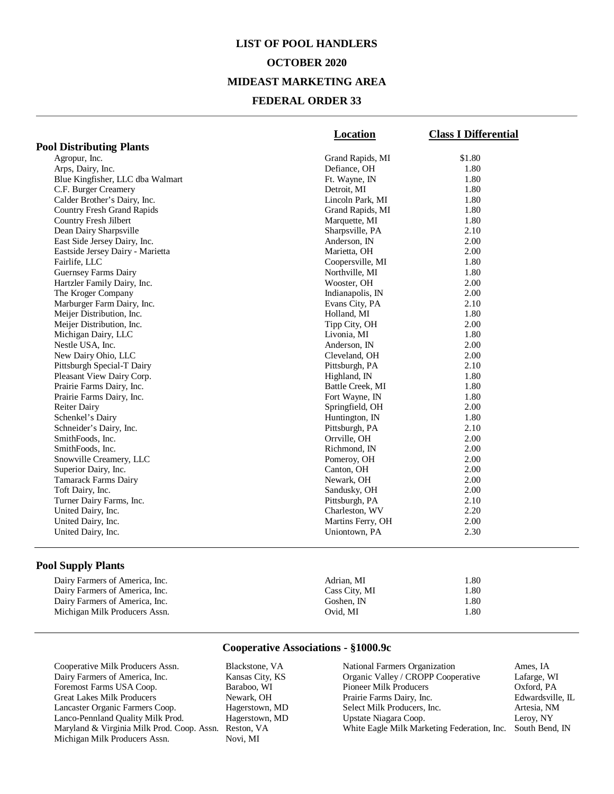# **LIST OF POOL HANDLERS OCTOBER 2020 MIDEAST MARKETING AREA FEDERAL ORDER 33**

|                                   | Location          | <b>Class I Differential</b> |
|-----------------------------------|-------------------|-----------------------------|
| <b>Pool Distributing Plants</b>   |                   |                             |
| Agropur, Inc.                     | Grand Rapids, MI  | \$1.80                      |
| Arps, Dairy, Inc.                 | Defiance, OH      | 1.80                        |
| Blue Kingfisher, LLC dba Walmart  | Ft. Wayne, IN     | 1.80                        |
| C.F. Burger Creamery              | Detroit. MI       | 1.80                        |
| Calder Brother's Dairy, Inc.      | Lincoln Park, MI  | 1.80                        |
| <b>Country Fresh Grand Rapids</b> | Grand Rapids, MI  | 1.80                        |
| Country Fresh Jilbert             | Marquette, MI     | 1.80                        |
| Dean Dairy Sharpsville            | Sharpsville, PA   | 2.10                        |
| East Side Jersey Dairy, Inc.      | Anderson, IN      | 2.00                        |
| Eastside Jersey Dairy - Marietta  | Marietta, OH      | 2.00                        |
| Fairlife, LLC                     | Coopersville, MI  | 1.80                        |
| <b>Guernsey Farms Dairy</b>       | Northville, MI    | 1.80                        |
| Hartzler Family Dairy, Inc.       | Wooster, OH       | 2.00                        |
| The Kroger Company                | Indianapolis, IN  | 2.00                        |
| Marburger Farm Dairy, Inc.        | Evans City, PA    | 2.10                        |
| Meijer Distribution, Inc.         | Holland, MI       | 1.80                        |
| Meijer Distribution, Inc.         | Tipp City, OH     | 2.00                        |
| Michigan Dairy, LLC               | Livonia, MI       | 1.80                        |
| Nestle USA, Inc.                  | Anderson, IN      | 2.00                        |
| New Dairy Ohio, LLC               | Cleveland, OH     | 2.00                        |
| Pittsburgh Special-T Dairy        | Pittsburgh, PA    | 2.10                        |
| Pleasant View Dairy Corp.         | Highland, IN      | 1.80                        |
| Prairie Farms Dairy, Inc.         | Battle Creek, MI  | 1.80                        |
| Prairie Farms Dairy, Inc.         | Fort Wayne, IN    | 1.80                        |
| <b>Reiter Dairy</b>               | Springfield, OH   | 2.00                        |
| Schenkel's Dairy                  | Huntington, IN    | 1.80                        |
| Schneider's Dairy, Inc.           | Pittsburgh, PA    | 2.10                        |
| SmithFoods, Inc.                  | Orrville, OH      | 2.00                        |
| SmithFoods, Inc.                  | Richmond, IN      | 2.00                        |
| Snowville Creamery, LLC           | Pomeroy, OH       | 2.00                        |
| Superior Dairy, Inc.              | Canton, OH        | 2.00                        |
| <b>Tamarack Farms Dairy</b>       | Newark, OH        | 2.00                        |
| Toft Dairy, Inc.                  | Sandusky, OH      | 2.00                        |
| Turner Dairy Farms, Inc.          | Pittsburgh, PA    | 2.10                        |
| United Dairy, Inc.                | Charleston, WV    | 2.20                        |
| United Dairy, Inc.                | Martins Ferry, OH | 2.00                        |
| United Dairy, Inc.                | Uniontown, PA     | 2.30                        |
|                                   |                   |                             |

## **Pool Supply Plants**

| Dairy Farmers of America, Inc. | Adrian. MI    | 1.80 |
|--------------------------------|---------------|------|
| Dairy Farmers of America, Inc. | Cass City, MI | 1.80 |
| Dairy Farmers of America, Inc. | Goshen. IN    | 1.80 |
| Michigan Milk Producers Assn.  | Ovid. MI      | 1.80 |

#### **Cooperative Associations - §1000.9c**

Cooperative Milk Producers Assn. Blackstone, VA<br>Dairy Farmers of America, Inc. Kansas City, KS Dairy Farmers of America, Inc. Kansas City, KS Foremost Farms USA Coop. Baraboo, WI Great Lakes Milk Producers Newark, OH<br>
Lancaster Organic Farmers Coop. Hagerstown, MD Lancaster Organic Farmers Coop. Hagerstown, MD Lanco-Pennland Quality Milk Prod. Maryland & Virginia Milk Prod. Coop. Assn. Reston, VA Michigan Milk Producers Assn.

| National Farmers Organization               | Ames, IA         |
|---------------------------------------------|------------------|
| Organic Valley / CROPP Cooperative          | Lafarge, WI      |
| <b>Pioneer Milk Producers</b>               | Oxford, PA       |
| Prairie Farms Dairy, Inc.                   | Edwardsville, IL |
| Select Milk Producers, Inc.                 | Artesia, NM      |
| Upstate Niagara Coop.                       | Leroy, NY        |
| White Eagle Milk Marketing Federation, Inc. | South Bend, IN   |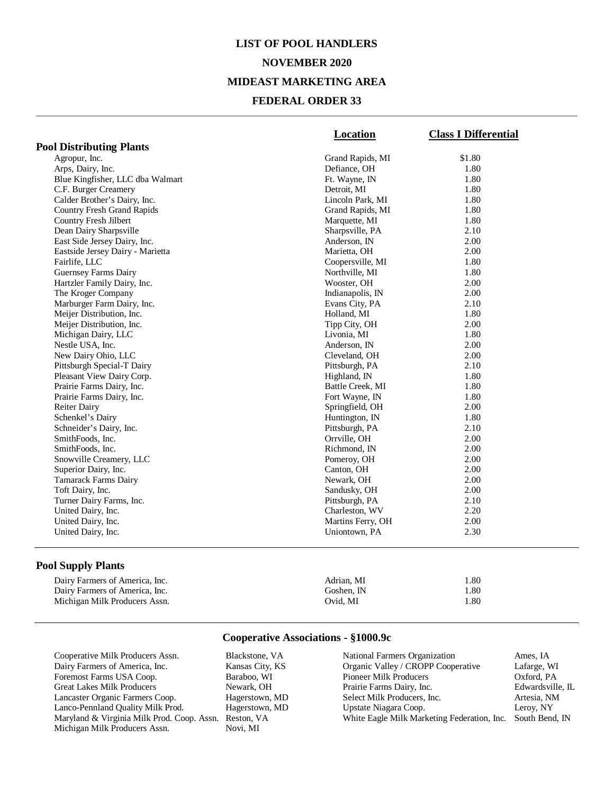# **LIST OF POOL HANDLERS NOVEMBER 2020 MIDEAST MARKETING AREA FEDERAL ORDER 33**

|                                   | Location          | <b>Class I Differential</b> |
|-----------------------------------|-------------------|-----------------------------|
| <b>Pool Distributing Plants</b>   |                   |                             |
| Agropur, Inc.                     | Grand Rapids, MI  | \$1.80                      |
| Arps, Dairy, Inc.                 | Defiance, OH      | 1.80                        |
| Blue Kingfisher, LLC dba Walmart  | Ft. Wayne, IN     | 1.80                        |
| C.F. Burger Creamery              | Detroit, MI       | 1.80                        |
| Calder Brother's Dairy, Inc.      | Lincoln Park, MI  | 1.80                        |
| <b>Country Fresh Grand Rapids</b> | Grand Rapids, MI  | 1.80                        |
| Country Fresh Jilbert             | Marquette, MI     | 1.80                        |
| Dean Dairy Sharpsville            | Sharpsville, PA   | 2.10                        |
| East Side Jersey Dairy, Inc.      | Anderson, IN      | 2.00                        |
| Eastside Jersey Dairy - Marietta  | Marietta, OH      | 2.00                        |
| Fairlife, LLC                     | Coopersville, MI  | 1.80                        |
| <b>Guernsey Farms Dairy</b>       | Northville, MI    | 1.80                        |
| Hartzler Family Dairy, Inc.       | Wooster, OH       | 2.00                        |
| The Kroger Company                | Indianapolis, IN  | 2.00                        |
| Marburger Farm Dairy, Inc.        | Evans City, PA    | 2.10                        |
| Meijer Distribution, Inc.         | Holland, MI       | 1.80                        |
| Meijer Distribution, Inc.         | Tipp City, OH     | 2.00                        |
| Michigan Dairy, LLC               | Livonia, MI       | 1.80                        |
| Nestle USA, Inc.                  | Anderson, IN      | 2.00                        |
| New Dairy Ohio, LLC               | Cleveland, OH     | 2.00                        |
| Pittsburgh Special-T Dairy        | Pittsburgh, PA    | 2.10                        |
| Pleasant View Dairy Corp.         | Highland, IN      | 1.80                        |
| Prairie Farms Dairy, Inc.         | Battle Creek, MI  | 1.80                        |
| Prairie Farms Dairy, Inc.         | Fort Wayne, IN    | 1.80                        |
| <b>Reiter Dairy</b>               | Springfield, OH   | 2.00                        |
| Schenkel's Dairy                  | Huntington, IN    | 1.80                        |
| Schneider's Dairy, Inc.           | Pittsburgh, PA    | 2.10                        |
| SmithFoods, Inc.                  | Orrville, OH      | 2.00                        |
| SmithFoods, Inc.                  | Richmond, IN      | 2.00                        |
| Snowville Creamery, LLC           | Pomeroy, OH       | 2.00                        |
| Superior Dairy, Inc.              | Canton, OH        | 2.00                        |
| <b>Tamarack Farms Dairy</b>       | Newark, OH        | 2.00                        |
| Toft Dairy, Inc.                  | Sandusky, OH      | 2.00                        |
| Turner Dairy Farms, Inc.          | Pittsburgh, PA    | 2.10                        |
| United Dairy, Inc.                | Charleston, WV    | 2.20                        |
| United Dairy, Inc.                | Martins Ferry, OH | 2.00                        |
| United Dairy, Inc.                | Uniontown, PA     | 2.30                        |
|                                   |                   |                             |

### **Pool Supply Plants**

| Dairy Farmers of America, Inc. | Adrian. MI | 1.80 |
|--------------------------------|------------|------|
| Dairy Farmers of America, Inc. | Goshen. IN | 1.80 |
| Michigan Milk Producers Assn.  | Ovid. MI   | . 80 |

#### **Cooperative Associations - §1000.9c**

Cooperative Milk Producers Assn. Blackstone, VA<br>Dairy Farmers of America, Inc. Kansas City, KS Dairy Farmers of America, Inc. Kansas City, KS Foremost Farms USA Coop. Baraboo, WI Great Lakes Milk Producers Newark, OH<br>
Lancaster Organic Farmers Coop. Hagerstown, MD Lancaster Organic Farmers Coop. Hagerstown, MD<br>
Lanco-Pennland Quality Milk Prod. Hagerstown, MD Lanco-Pennland Quality Milk Prod. Maryland & Virginia Milk Prod. Coop. Assn. Reston, VA Michigan Milk Producers Assn.

| National Farmers Organization               | Ames, IA         |
|---------------------------------------------|------------------|
| Organic Valley / CROPP Cooperative          | Lafarge, WI      |
| <b>Pioneer Milk Producers</b>               | Oxford, PA       |
| Prairie Farms Dairy, Inc.                   | Edwardsville, IL |
| Select Milk Producers, Inc.                 | Artesia, NM      |
| Upstate Niagara Coop.                       | Leroy, NY        |
| White Eagle Milk Marketing Federation, Inc. | South Bend, IN   |
|                                             |                  |